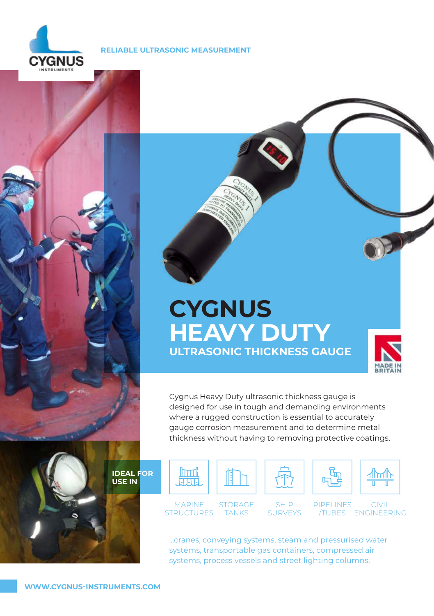

# **RELIABLE ULTRASONIC MEASUREMENT**





# **CYGNUS HEAVY DUTY ULTRASONIC THICKNESS GAUGE**



Cygnus Heavy Duty ultrasonic thickness gauge is designed for use in tough and demanding environments where a rugged construction is essential to accurately gauge corrosion measurement and to determine metal thickness without having to removing protective coatings.

**IDEAL FOR USE IN**



...cranes, conveying systems, steam and pressurised water systems, transportable gas containers, compressed air systems, process vessels and street lighting columns.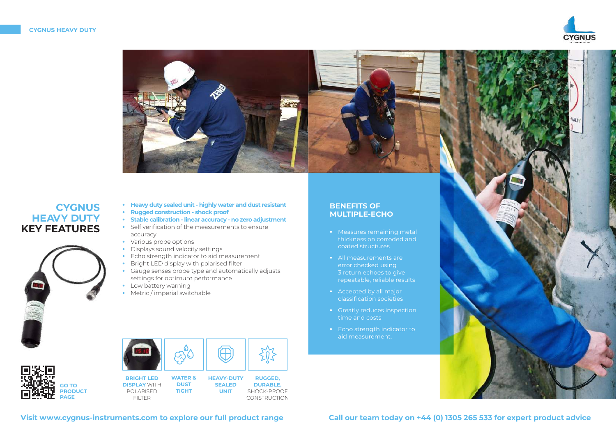



# **CYGNUS HEAVY DUTY KEY FEATURES**



- **• Heavy duty sealed unit highly water and dust resistant • Rugged construction - shock proof**
- 
- **• Stable calibration linear accuracy no zero adjustment**
- **•** Self verification of the measurements to ensure accuracy
- **•** Various probe options
- **•** Displays sound velocity settings
- **•** Echo strength indicator to aid measurement
- **•** Bright LED display with polarised filter
- **•** Gauge senses probe type and automatically adjusts settings for optimum performance
- **•** Low battery warning
- **•** Metric / imperial switchable



| <b>BRIGHT L</b>  |
|------------------|
| <b>DISPLAY W</b> |
| POI ARISE        |
|                  |

| <b>BRIGHT LED</b>   |  |
|---------------------|--|
| <b>DISPLAY WITH</b> |  |
| POI ARISED          |  |
| FII TER             |  |



**UNIT** SHOCK-PROOF **CONSTRUCTION** 

# **BENEFITS OF MULTIPLE-ECHO**

- **•** Measures remaining metal thickness on corroded and coated structures
- **•** All measurements are error checked using 3 return echoes to give repeatable, reliable results
- **•** Accepted by all major classification societies
- **•** Greatly reduces inspection time and costs
- **•** Echo strength indicator to aid measurement.



**Visit www.cygnus-instruments.com to explore our full product range Call our team today on +44 (0) 1305 265 533 for expert product advice**